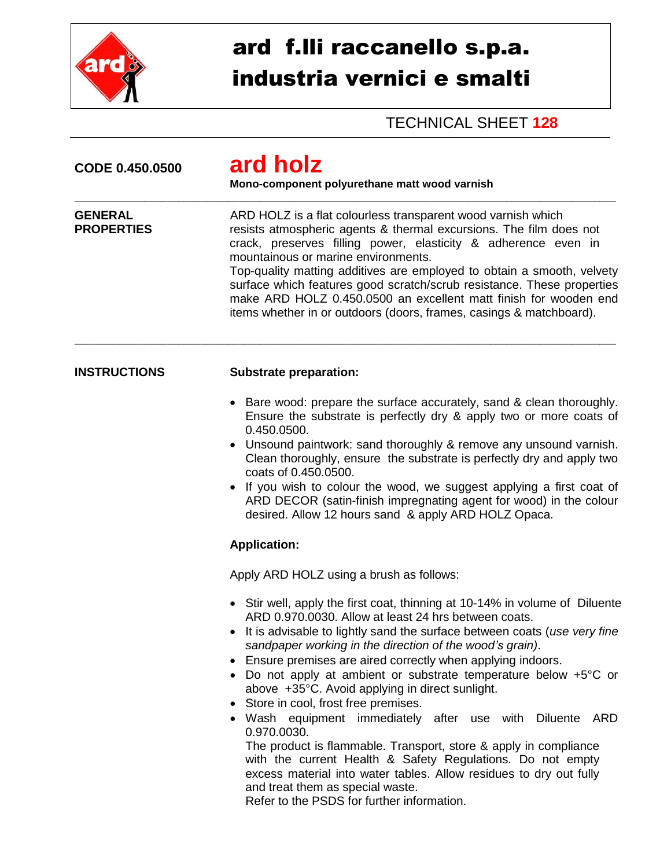

## ard f.lli raccanello s.p.a. industria vernici e smalti

TECHNICAL SHEET **128**

| CODE 0.450.0500                     | ard holz<br>Mono-component polyurethane matt wood varnish<br>ARD HOLZ is a flat colourless transparent wood varnish which<br>resists atmospheric agents & thermal excursions. The film does not<br>crack, preserves filling power, elasticity & adherence even in<br>mountainous or marine environments.<br>Top-quality matting additives are employed to obtain a smooth, velvety<br>surface which features good scratch/scrub resistance. These properties<br>make ARD HOLZ 0.450.0500 an excellent matt finish for wooden end<br>items whether in or outdoors (doors, frames, casings & matchboard).                                                                                                                                                                                                                                                                                   |  |  |
|-------------------------------------|-------------------------------------------------------------------------------------------------------------------------------------------------------------------------------------------------------------------------------------------------------------------------------------------------------------------------------------------------------------------------------------------------------------------------------------------------------------------------------------------------------------------------------------------------------------------------------------------------------------------------------------------------------------------------------------------------------------------------------------------------------------------------------------------------------------------------------------------------------------------------------------------|--|--|
| <b>GENERAL</b><br><b>PROPERTIES</b> |                                                                                                                                                                                                                                                                                                                                                                                                                                                                                                                                                                                                                                                                                                                                                                                                                                                                                           |  |  |
| <b>INSTRUCTIONS</b>                 | <b>Substrate preparation:</b>                                                                                                                                                                                                                                                                                                                                                                                                                                                                                                                                                                                                                                                                                                                                                                                                                                                             |  |  |
|                                     | Bare wood: prepare the surface accurately, sand & clean thoroughly.<br>Ensure the substrate is perfectly dry & apply two or more coats of<br>0.450.0500.<br>Unsound paintwork: sand thoroughly & remove any unsound varnish.<br>Clean thoroughly, ensure the substrate is perfectly dry and apply two<br>coats of 0.450,0500.<br>• If you wish to colour the wood, we suggest applying a first coat of<br>ARD DECOR (satin-finish impregnating agent for wood) in the colour<br>desired. Allow 12 hours sand & apply ARD HOLZ Opaca.<br><b>Application:</b>                                                                                                                                                                                                                                                                                                                               |  |  |
|                                     | Apply ARD HOLZ using a brush as follows:                                                                                                                                                                                                                                                                                                                                                                                                                                                                                                                                                                                                                                                                                                                                                                                                                                                  |  |  |
|                                     | • Stir well, apply the first coat, thinning at 10-14% in volume of Diluente<br>ARD 0.970.0030. Allow at least 24 hrs between coats.<br>• It is advisable to lightly sand the surface between coats (use very fine<br>sandpaper working in the direction of the wood's grain).<br>Ensure premises are aired correctly when applying indoors.<br>Do not apply at ambient or substrate temperature below $+5^{\circ}$ C or<br>above +35°C. Avoid applying in direct sunlight.<br>Store in cool, frost free premises.<br>• Wash equipment immediately after use with Diluente<br>ARD<br>0.970.0030.<br>The product is flammable. Transport, store & apply in compliance<br>with the current Health & Safety Regulations. Do not empty<br>excess material into water tables. Allow residues to dry out fully<br>and treat them as special waste.<br>Refer to the PSDS for further information. |  |  |